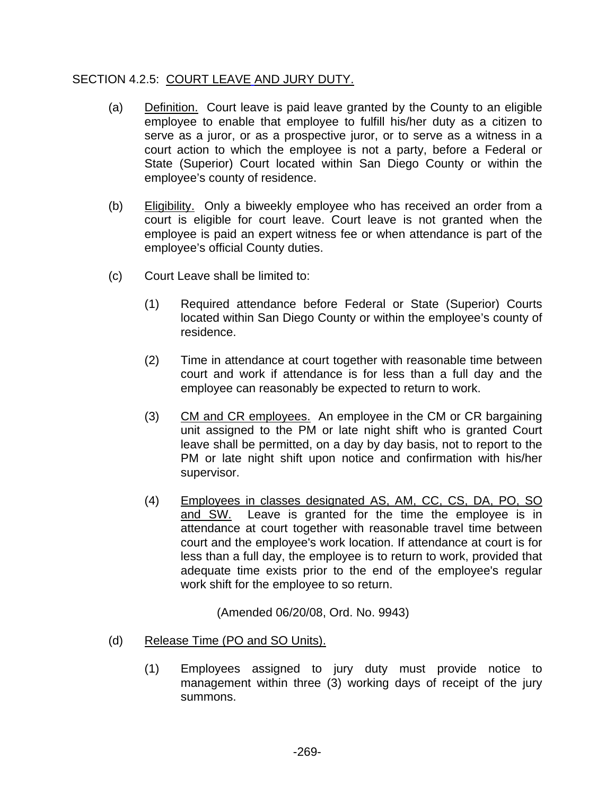## SECTION 4.2.5: COURT LEAVE AND JURY DUTY.

- (a) Definition. Court leave is paid leave granted by the County to an eligible employee to enable that employee to fulfill his/her duty as a citizen to serve as a juror, or as a prospective juror, or to serve as a witness in a court action to which the employee is not a party, before a Federal or State (Superior) Court located within San Diego County or within the employee's county of residence.
- (b) Eligibility. Only a biweekly employee who has received an order from a court is eligible for court leave. Court leave is not granted when the employee is paid an expert witness fee or when attendance is part of the employee's official County duties.
- (c) Court Leave shall be limited to:
	- (1) Required attendance before Federal or State (Superior) Courts located within San Diego County or within the employee's county of residence.
	- (2) Time in attendance at court together with reasonable time between court and work if attendance is for less than a full day and the employee can reasonably be expected to return to work.
	- (3) CM and CR employees. An employee in the CM or CR bargaining unit assigned to the PM or late night shift who is granted Court leave shall be permitted, on a day by day basis, not to report to the PM or late night shift upon notice and confirmation with his/her supervisor.
	- (4) Employees in classes designated AS, AM, CC, CS, DA, PO, SO and SW. Leave is granted for the time the employee is in attendance at court together with reasonable travel time between court and the employee's work location. If attendance at court is for less than a full day, the employee is to return to work, provided that adequate time exists prior to the end of the employee's regular work shift for the employee to so return.

(Amended 06/20/08, Ord. No. 9943)

- (d) Release Time (PO and SO Units).
	- (1) Employees assigned to jury duty must provide notice to management within three (3) working days of receipt of the jury summons.